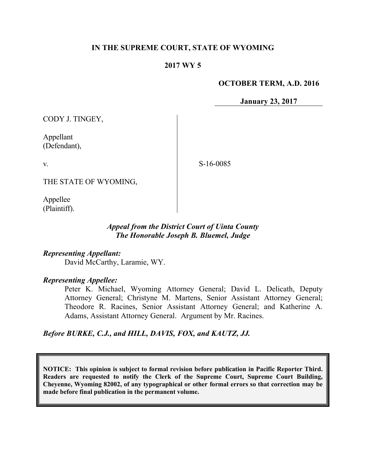### **IN THE SUPREME COURT, STATE OF WYOMING**

#### **2017 WY 5**

#### **OCTOBER TERM, A.D. 2016**

**January 23, 2017**

CODY J. TINGEY,

Appellant (Defendant),

v.

S-16-0085

THE STATE OF WYOMING,

Appellee (Plaintiff).

### *Appeal from the District Court of Uinta County The Honorable Joseph B. Bluemel, Judge*

*Representing Appellant:* David McCarthy, Laramie, WY.

#### *Representing Appellee:*

Peter K. Michael, Wyoming Attorney General; David L. Delicath, Deputy Attorney General; Christyne M. Martens, Senior Assistant Attorney General; Theodore R. Racines, Senior Assistant Attorney General; and Katherine A. Adams, Assistant Attorney General. Argument by Mr. Racines.

*Before BURKE, C.J., and HILL, DAVIS, FOX, and KAUTZ, JJ.*

**NOTICE: This opinion is subject to formal revision before publication in Pacific Reporter Third. Readers are requested to notify the Clerk of the Supreme Court, Supreme Court Building, Cheyenne, Wyoming 82002, of any typographical or other formal errors so that correction may be made before final publication in the permanent volume.**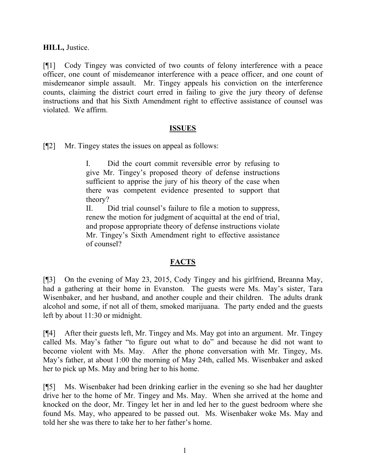**HILL,** Justice.

[¶1] Cody Tingey was convicted of two counts of felony interference with a peace officer, one count of misdemeanor interference with a peace officer, and one count of misdemeanor simple assault. Mr. Tingey appeals his conviction on the interference counts, claiming the district court erred in failing to give the jury theory of defense instructions and that his Sixth Amendment right to effective assistance of counsel was violated. We affirm.

#### **ISSUES**

[¶2] Mr. Tingey states the issues on appeal as follows:

I. Did the court commit reversible error by refusing to give Mr. Tingey's proposed theory of defense instructions sufficient to apprise the jury of his theory of the case when there was competent evidence presented to support that theory?

II. Did trial counsel's failure to file a motion to suppress, renew the motion for judgment of acquittal at the end of trial, and propose appropriate theory of defense instructions violate Mr. Tingey's Sixth Amendment right to effective assistance of counsel?

### **FACTS**

[¶3] On the evening of May 23, 2015, Cody Tingey and his girlfriend, Breanna May, had a gathering at their home in Evanston. The guests were Ms. May's sister, Tara Wisenbaker, and her husband, and another couple and their children. The adults drank alcohol and some, if not all of them, smoked marijuana. The party ended and the guests left by about 11:30 or midnight.

[¶4] After their guests left, Mr. Tingey and Ms. May got into an argument. Mr. Tingey called Ms. May's father "to figure out what to do" and because he did not want to become violent with Ms. May. After the phone conversation with Mr. Tingey, Ms. May's father, at about 1:00 the morning of May 24th, called Ms. Wisenbaker and asked her to pick up Ms. May and bring her to his home.

[¶5] Ms. Wisenbaker had been drinking earlier in the evening so she had her daughter drive her to the home of Mr. Tingey and Ms. May. When she arrived at the home and knocked on the door, Mr. Tingey let her in and led her to the guest bedroom where she found Ms. May, who appeared to be passed out. Ms. Wisenbaker woke Ms. May and told her she was there to take her to her father's home.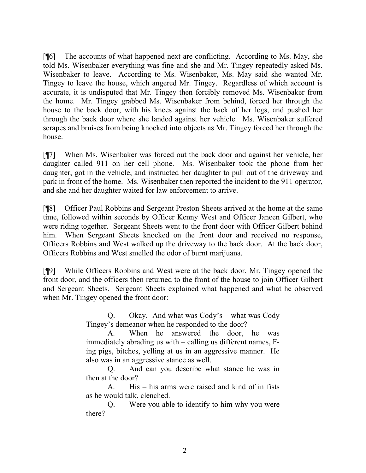[¶6] The accounts of what happened next are conflicting. According to Ms. May, she told Ms. Wisenbaker everything was fine and she and Mr. Tingey repeatedly asked Ms. Wisenbaker to leave. According to Ms. Wisenbaker, Ms. May said she wanted Mr. Tingey to leave the house, which angered Mr. Tingey. Regardless of which account is accurate, it is undisputed that Mr. Tingey then forcibly removed Ms. Wisenbaker from the home. Mr. Tingey grabbed Ms. Wisenbaker from behind, forced her through the house to the back door, with his knees against the back of her legs, and pushed her through the back door where she landed against her vehicle. Ms. Wisenbaker suffered scrapes and bruises from being knocked into objects as Mr. Tingey forced her through the house.

[¶7] When Ms. Wisenbaker was forced out the back door and against her vehicle, her daughter called 911 on her cell phone. Ms. Wisenbaker took the phone from her daughter, got in the vehicle, and instructed her daughter to pull out of the driveway and park in front of the home. Ms. Wisenbaker then reported the incident to the 911 operator, and she and her daughter waited for law enforcement to arrive.

[¶8] Officer Paul Robbins and Sergeant Preston Sheets arrived at the home at the same time, followed within seconds by Officer Kenny West and Officer Janeen Gilbert, who were riding together. Sergeant Sheets went to the front door with Officer Gilbert behind him. When Sergeant Sheets knocked on the front door and received no response, Officers Robbins and West walked up the driveway to the back door. At the back door, Officers Robbins and West smelled the odor of burnt marijuana.

[¶9] While Officers Robbins and West were at the back door, Mr. Tingey opened the front door, and the officers then returned to the front of the house to join Officer Gilbert and Sergeant Sheets. Sergeant Sheets explained what happened and what he observed when Mr. Tingey opened the front door:

> Q. Okay. And what was Cody's – what was Cody Tingey's demeanor when he responded to the door?

> A. When he answered the door, he was immediately abrading us with – calling us different names, Fing pigs, bitches, yelling at us in an aggressive manner. He also was in an aggressive stance as well.

> Q. And can you describe what stance he was in then at the door?

> A. His – his arms were raised and kind of in fists as he would talk, clenched.

> Q. Were you able to identify to him why you were there?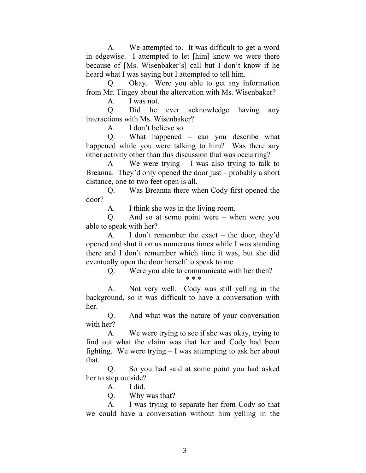A. We attempted to. It was difficult to get a word in edgewise. I attempted to let [him] know we were there because of [Ms. Wisenbaker's] call but I don't know if he heard what I was saying but I attempted to tell him.

Q. Okay. Were you able to get any information from Mr. Tingey about the altercation with Ms. Wisenbaker?

A. I was not.

Q. Did he ever acknowledge having any interactions with Ms. Wisenbaker?

A. I don't believe so.

Q. What happened – can you describe what happened while you were talking to him? Was there any other activity other than this discussion that was occurring?

A We were trying – I was also trying to talk to Breanna. They'd only opened the door just – probably a short distance, one to two feet open is all.

Q. Was Breanna there when Cody first opened the door?

A. I think she was in the living room.

Q. And so at some point were – when were you able to speak with her?

A. I don't remember the exact – the door, they'd opened and shut it on us numerous times while I was standing there and I don't remember which time it was, but she did eventually open the door herself to speak to me.

> Q. Were you able to communicate with her then? \* \* \*

A. Not very well. Cody was still yelling in the background, so it was difficult to have a conversation with her.

Q. And what was the nature of your conversation with her?

A. We were trying to see if she was okay, trying to find out what the claim was that her and Cody had been fighting. We were trying – I was attempting to ask her about that.

Q. So you had said at some point you had asked her to step outside?

A. I did.

Q. Why was that?

A. I was trying to separate her from Cody so that we could have a conversation without him yelling in the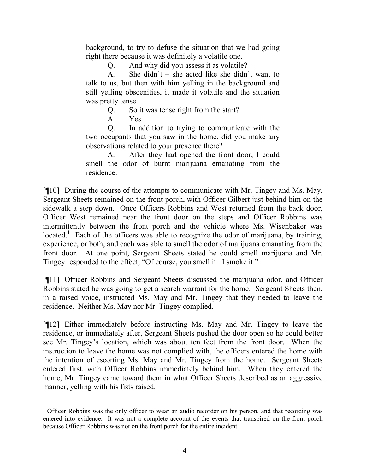background, to try to defuse the situation that we had going right there because it was definitely a volatile one.

Q. And why did you assess it as volatile?

A. She didn't – she acted like she didn't want to talk to us, but then with him yelling in the background and still yelling obscenities, it made it volatile and the situation was pretty tense.

Q. So it was tense right from the start?

A. Yes.

l

Q. In addition to trying to communicate with the two occupants that you saw in the home, did you make any observations related to your presence there?

A. After they had opened the front door, I could smell the odor of burnt marijuana emanating from the residence.

[¶10] During the course of the attempts to communicate with Mr. Tingey and Ms. May, Sergeant Sheets remained on the front porch, with Officer Gilbert just behind him on the sidewalk a step down. Once Officers Robbins and West returned from the back door, Officer West remained near the front door on the steps and Officer Robbins was intermittently between the front porch and the vehicle where Ms. Wisenbaker was located.<sup>1</sup> Each of the officers was able to recognize the odor of marijuana, by training, experience, or both, and each was able to smell the odor of marijuana emanating from the front door. At one point, Sergeant Sheets stated he could smell marijuana and Mr. Tingey responded to the effect, "Of course, you smell it. I smoke it."

[¶11] Officer Robbins and Sergeant Sheets discussed the marijuana odor, and Officer Robbins stated he was going to get a search warrant for the home. Sergeant Sheets then, in a raised voice, instructed Ms. May and Mr. Tingey that they needed to leave the residence. Neither Ms. May nor Mr. Tingey complied.

[¶12] Either immediately before instructing Ms. May and Mr. Tingey to leave the residence, or immediately after, Sergeant Sheets pushed the door open so he could better see Mr. Tingey's location, which was about ten feet from the front door. When the instruction to leave the home was not complied with, the officers entered the home with the intention of escorting Ms. May and Mr. Tingey from the home. Sergeant Sheets entered first, with Officer Robbins immediately behind him. When they entered the home, Mr. Tingey came toward them in what Officer Sheets described as an aggressive manner, yelling with his fists raised.

<sup>&</sup>lt;sup>1</sup> Officer Robbins was the only officer to wear an audio recorder on his person, and that recording was entered into evidence. It was not a complete account of the events that transpired on the front porch because Officer Robbins was not on the front porch for the entire incident.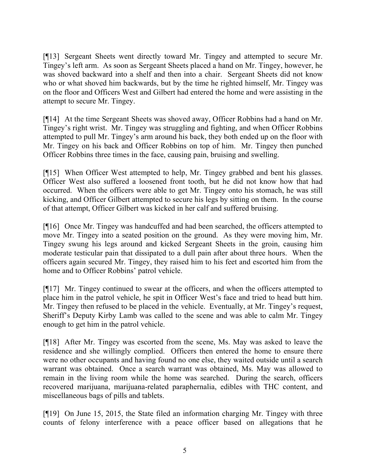[¶13] Sergeant Sheets went directly toward Mr. Tingey and attempted to secure Mr. Tingey's left arm. As soon as Sergeant Sheets placed a hand on Mr. Tingey, however, he was shoved backward into a shelf and then into a chair. Sergeant Sheets did not know who or what shoved him backwards, but by the time he righted himself, Mr. Tingey was on the floor and Officers West and Gilbert had entered the home and were assisting in the attempt to secure Mr. Tingey.

[¶14] At the time Sergeant Sheets was shoved away, Officer Robbins had a hand on Mr. Tingey's right wrist. Mr. Tingey was struggling and fighting, and when Officer Robbins attempted to pull Mr. Tingey's arm around his back, they both ended up on the floor with Mr. Tingey on his back and Officer Robbins on top of him. Mr. Tingey then punched Officer Robbins three times in the face, causing pain, bruising and swelling.

[¶15] When Officer West attempted to help, Mr. Tingey grabbed and bent his glasses. Officer West also suffered a loosened front tooth, but he did not know how that had occurred. When the officers were able to get Mr. Tingey onto his stomach, he was still kicking, and Officer Gilbert attempted to secure his legs by sitting on them. In the course of that attempt, Officer Gilbert was kicked in her calf and suffered bruising.

[¶16] Once Mr. Tingey was handcuffed and had been searched, the officers attempted to move Mr. Tingey into a seated position on the ground. As they were moving him, Mr. Tingey swung his legs around and kicked Sergeant Sheets in the groin, causing him moderate testicular pain that dissipated to a dull pain after about three hours. When the officers again secured Mr. Tingey, they raised him to his feet and escorted him from the home and to Officer Robbins' patrol vehicle.

[¶17] Mr. Tingey continued to swear at the officers, and when the officers attempted to place him in the patrol vehicle, he spit in Officer West's face and tried to head butt him. Mr. Tingey then refused to be placed in the vehicle. Eventually, at Mr. Tingey's request, Sheriff's Deputy Kirby Lamb was called to the scene and was able to calm Mr. Tingey enough to get him in the patrol vehicle.

[¶18] After Mr. Tingey was escorted from the scene, Ms. May was asked to leave the residence and she willingly complied. Officers then entered the home to ensure there were no other occupants and having found no one else, they waited outside until a search warrant was obtained. Once a search warrant was obtained, Ms. May was allowed to remain in the living room while the home was searched. During the search, officers recovered marijuana, marijuana-related paraphernalia, edibles with THC content, and miscellaneous bags of pills and tablets.

[¶19] On June 15, 2015, the State filed an information charging Mr. Tingey with three counts of felony interference with a peace officer based on allegations that he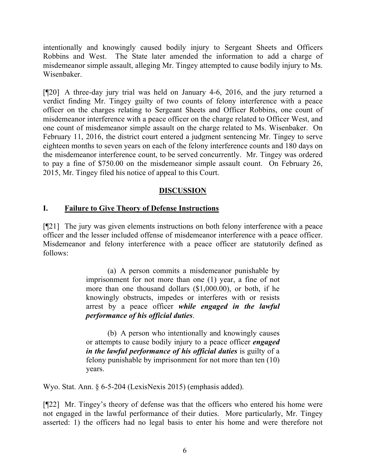intentionally and knowingly caused bodily injury to Sergeant Sheets and Officers Robbins and West. The State later amended the information to add a charge of misdemeanor simple assault, alleging Mr. Tingey attempted to cause bodily injury to Ms. Wisenbaker.

[¶20] A three-day jury trial was held on January 4-6, 2016, and the jury returned a verdict finding Mr. Tingey guilty of two counts of felony interference with a peace officer on the charges relating to Sergeant Sheets and Officer Robbins, one count of misdemeanor interference with a peace officer on the charge related to Officer West, and one count of misdemeanor simple assault on the charge related to Ms. Wisenbaker. On February 11, 2016, the district court entered a judgment sentencing Mr. Tingey to serve eighteen months to seven years on each of the felony interference counts and 180 days on the misdemeanor interference count, to be served concurrently. Mr. Tingey was ordered to pay a fine of \$750.00 on the misdemeanor simple assault count. On February 26, 2015, Mr. Tingey filed his notice of appeal to this Court.

# **DISCUSSION**

### **I. Failure to Give Theory of Defense Instructions**

[¶21] The jury was given elements instructions on both felony interference with a peace officer and the lesser included offense of misdemeanor interference with a peace officer. Misdemeanor and felony interference with a peace officer are statutorily defined as follows:

> (a) A person commits a misdemeanor punishable by imprisonment for not more than one (1) year, a fine of not more than one thousand dollars (\$1,000.00), or both, if he knowingly obstructs, impedes or interferes with or resists arrest by a peace officer *while engaged in the lawful performance of his official duties*.

> (b) A person who intentionally and knowingly causes or attempts to cause bodily injury to a peace officer *engaged in the lawful performance of his official duties* is guilty of a felony punishable by imprisonment for not more than ten (10) years.

Wyo. Stat. Ann. § 6-5-204 (LexisNexis 2015) (emphasis added).

[¶22] Mr. Tingey's theory of defense was that the officers who entered his home were not engaged in the lawful performance of their duties. More particularly, Mr. Tingey asserted: 1) the officers had no legal basis to enter his home and were therefore not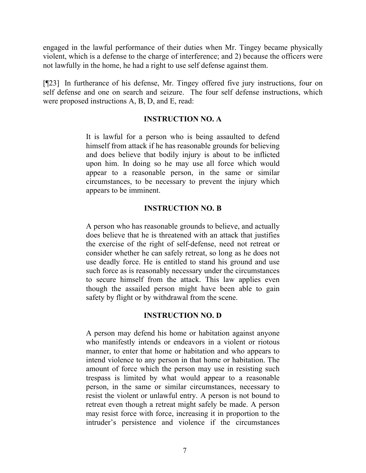engaged in the lawful performance of their duties when Mr. Tingey became physically violent, which is a defense to the charge of interference; and 2) because the officers were not lawfully in the home, he had a right to use self defense against them.

[¶23] In furtherance of his defense, Mr. Tingey offered five jury instructions, four on self defense and one on search and seizure. The four self defense instructions, which were proposed instructions A, B, D, and E, read:

#### **INSTRUCTION NO. A**

It is lawful for a person who is being assaulted to defend himself from attack if he has reasonable grounds for believing and does believe that bodily injury is about to be inflicted upon him. In doing so he may use all force which would appear to a reasonable person, in the same or similar circumstances, to be necessary to prevent the injury which appears to be imminent.

### **INSTRUCTION NO. B**

A person who has reasonable grounds to believe, and actually does believe that he is threatened with an attack that justifies the exercise of the right of self-defense, need not retreat or consider whether he can safely retreat, so long as he does not use deadly force. He is entitled to stand his ground and use such force as is reasonably necessary under the circumstances to secure himself from the attack. This law applies even though the assailed person might have been able to gain safety by flight or by withdrawal from the scene.

### **INSTRUCTION NO. D**

A person may defend his home or habitation against anyone who manifestly intends or endeavors in a violent or riotous manner, to enter that home or habitation and who appears to intend violence to any person in that home or habitation. The amount of force which the person may use in resisting such trespass is limited by what would appear to a reasonable person, in the same or similar circumstances, necessary to resist the violent or unlawful entry. A person is not bound to retreat even though a retreat might safely be made. A person may resist force with force, increasing it in proportion to the intruder's persistence and violence if the circumstances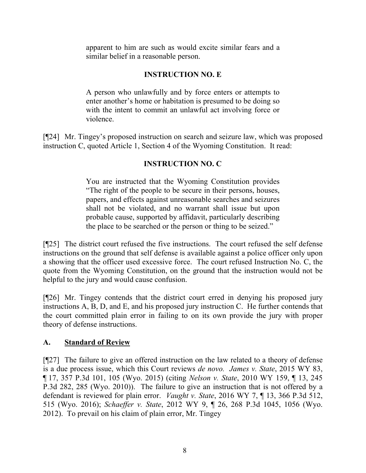apparent to him are such as would excite similar fears and a similar belief in a reasonable person.

# **INSTRUCTION NO. E**

A person who unlawfully and by force enters or attempts to enter another's home or habitation is presumed to be doing so with the intent to commit an unlawful act involving force or violence.

[¶24] Mr. Tingey's proposed instruction on search and seizure law, which was proposed instruction C, quoted Article 1, Section 4 of the Wyoming Constitution. It read:

# **INSTRUCTION NO. C**

You are instructed that the Wyoming Constitution provides "The right of the people to be secure in their persons, houses, papers, and effects against unreasonable searches and seizures shall not be violated, and no warrant shall issue but upon probable cause, supported by affidavit, particularly describing the place to be searched or the person or thing to be seized."

[¶25] The district court refused the five instructions. The court refused the self defense instructions on the ground that self defense is available against a police officer only upon a showing that the officer used excessive force. The court refused Instruction No. C, the quote from the Wyoming Constitution, on the ground that the instruction would not be helpful to the jury and would cause confusion.

[¶26] Mr. Tingey contends that the district court erred in denying his proposed jury instructions A, B, D, and E, and his proposed jury instruction C. He further contends that the court committed plain error in failing to on its own provide the jury with proper theory of defense instructions.

# **A. Standard of Review**

[¶27] The failure to give an offered instruction on the law related to a theory of defense is a due process issue, which this Court reviews *de novo. James v. State*, 2015 WY 83, ¶ 17, 357 P.3d 101, 105 (Wyo. 2015) (citing *Nelson v. State*, 2010 WY 159, ¶ 13, 245 P.3d 282, 285 (Wyo. 2010)). The failure to give an instruction that is not offered by a defendant is reviewed for plain error. *Vaught v. State*, 2016 WY 7, ¶ 13, 366 P.3d 512, 515 (Wyo. 2016); *Schaeffer v. State*, 2012 WY 9, ¶ 26, 268 P.3d 1045, 1056 (Wyo. 2012). To prevail on his claim of plain error, Mr. Tingey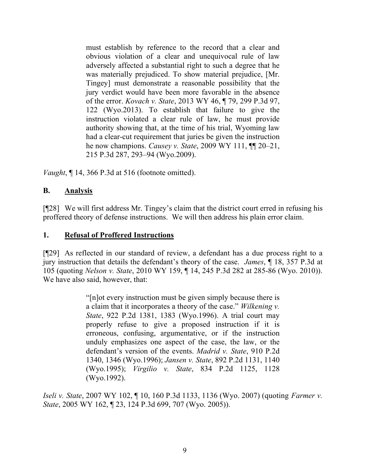must establish by reference to the record that a clear and obvious violation of a clear and unequivocal rule of law adversely affected a substantial right to such a degree that he was materially prejudiced. To show material prejudice, [Mr. Tingey] must demonstrate a reasonable possibility that the jury verdict would have been more favorable in the absence of the error. *Kovach v. State*, 2013 WY 46, ¶ 79, 299 P.3d 97, 122 (Wyo.2013). To establish that failure to give the instruction violated a clear rule of law, he must provide authority showing that, at the time of his trial, Wyoming law had a clear-cut requirement that juries be given the instruction he now champions. *Causey v. State*, 2009 WY 111, ¶¶ 20–21, 215 P.3d 287, 293–94 (Wyo.2009).

*Vaught*, ¶ 14, 366 P.3d at 516 (footnote omitted).

# **B. Analysis**

[¶28] We will first address Mr. Tingey's claim that the district court erred in refusing his proffered theory of defense instructions. We will then address his plain error claim.

### **1. Refusal of Proffered Instructions**

[¶29] As reflected in our standard of review, a defendant has a due process right to a jury instruction that details the defendant's theory of the case. *James*, ¶ 18, 357 P.3d at 105 (quoting *Nelson v. State*, 2010 WY 159, ¶ 14, 245 P.3d 282 at 285-86 (Wyo. 2010)). We have also said, however, that:

> "[n]ot every instruction must be given simply because there is a claim that it incorporates a theory of the case." *Wilkening v. State*, 922 P.2d 1381, 1383 (Wyo.1996). A trial court may properly refuse to give a proposed instruction if it is erroneous, confusing, argumentative, or if the instruction unduly emphasizes one aspect of the case, the law, or the defendant's version of the events. *Madrid v. State*, 910 P.2d 1340, 1346 (Wyo.1996); *Jansen v. State*, 892 P.2d 1131, 1140 (Wyo.1995); *Virgilio v. State*, 834 P.2d 1125, 1128 (Wyo.1992).

*Iseli v. State*, 2007 WY 102, ¶ 10, 160 P.3d 1133, 1136 (Wyo. 2007) (quoting *Farmer v. State*, 2005 WY 162, ¶ 23, 124 P.3d 699, 707 (Wyo. 2005)).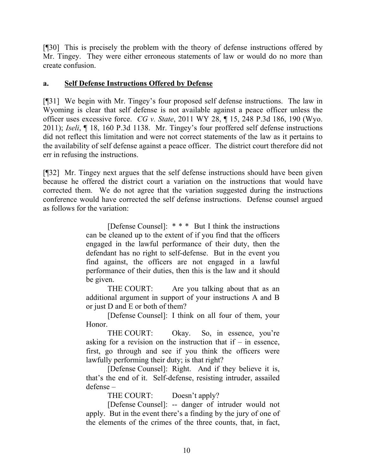[¶30] This is precisely the problem with the theory of defense instructions offered by Mr. Tingey. They were either erroneous statements of law or would do no more than create confusion.

### **a. Self Defense Instructions Offered by Defense**

[¶31] We begin with Mr. Tingey's four proposed self defense instructions. The law in Wyoming is clear that self defense is not available against a peace officer unless the officer uses excessive force. *CG v. State*, 2011 WY 28, ¶ 15, 248 P.3d 186, 190 (Wyo. 2011); *Iseli*, ¶ 18, 160 P.3d 1138. Mr. Tingey's four proffered self defense instructions did not reflect this limitation and were not correct statements of the law as it pertains to the availability of self defense against a peace officer. The district court therefore did not err in refusing the instructions.

[¶32] Mr. Tingey next argues that the self defense instructions should have been given because he offered the district court a variation on the instructions that would have corrected them. We do not agree that the variation suggested during the instructions conference would have corrected the self defense instructions. Defense counsel argued as follows for the variation:

> [Defense Counsel]: \* \* \* But I think the instructions can be cleaned up to the extent of if you find that the officers engaged in the lawful performance of their duty, then the defendant has no right to self-defense. But in the event you find against, the officers are not engaged in a lawful performance of their duties, then this is the law and it should be given.

> THE COURT: Are you talking about that as an additional argument in support of your instructions A and B or just D and E or both of them?

> [Defense Counsel]: I think on all four of them, your Honor.

> THE COURT: Okay. So, in essence, you're asking for a revision on the instruction that if  $-$  in essence, first, go through and see if you think the officers were lawfully performing their duty; is that right?

> [Defense Counsel]: Right. And if they believe it is, that's the end of it. Self-defense, resisting intruder, assailed defense –

THE COURT: Doesn't apply?

[Defense Counsel]: -- danger of intruder would not apply. But in the event there's a finding by the jury of one of the elements of the crimes of the three counts, that, in fact,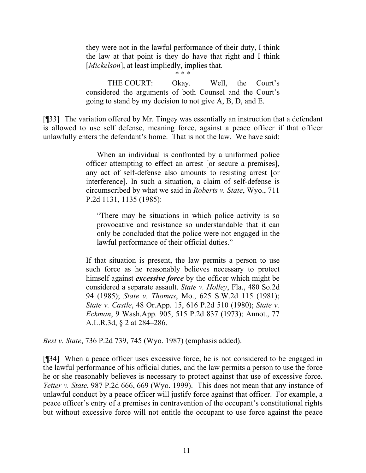they were not in the lawful performance of their duty, I think the law at that point is they do have that right and I think [*Mickelson*], at least impliedly, implies that.

\* \* \*

THE COURT: Okay. Well, the Court's considered the arguments of both Counsel and the Court's going to stand by my decision to not give A, B, D, and E.

[¶33] The variation offered by Mr. Tingey was essentially an instruction that a defendant is allowed to use self defense, meaning force, against a peace officer if that officer unlawfully enters the defendant's home. That is not the law. We have said:

> When an individual is confronted by a uniformed police officer attempting to effect an arrest [or secure a premises], any act of self-defense also amounts to resisting arrest [or interference]. In such a situation, a claim of self-defense is circumscribed by what we said in *Roberts v. State*, Wyo., 711 P.2d 1131, 1135 (1985):

"There may be situations in which police activity is so provocative and resistance so understandable that it can only be concluded that the police were not engaged in the lawful performance of their official duties."

If that situation is present, the law permits a person to use such force as he reasonably believes necessary to protect himself against *excessive force* by the officer which might be considered a separate assault. *State v. Holley*, Fla., 480 So.2d 94 (1985); *State v. Thomas*, Mo., 625 S.W.2d 115 (1981); *State v. Castle*, 48 Or.App. 15, 616 P.2d 510 (1980); *State v. Eckman*, 9 Wash.App. 905, 515 P.2d 837 (1973); Annot., 77 A.L.R.3d, § 2 at 284–286.

*Best v. State*, 736 P.2d 739, 745 (Wyo. 1987) (emphasis added).

[¶34] When a peace officer uses excessive force, he is not considered to be engaged in the lawful performance of his official duties, and the law permits a person to use the force he or she reasonably believes is necessary to protect against that use of excessive force. *Yetter v. State*, 987 P.2d 666, 669 (Wyo. 1999). This does not mean that any instance of unlawful conduct by a peace officer will justify force against that officer. For example, a peace officer's entry of a premises in contravention of the occupant's constitutional rights but without excessive force will not entitle the occupant to use force against the peace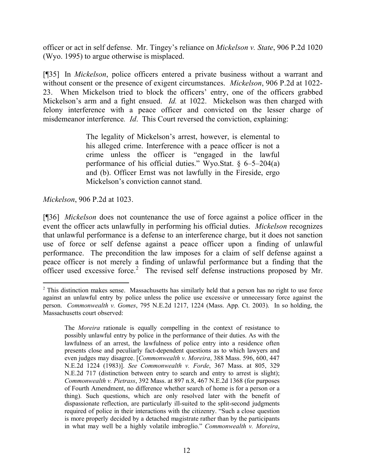officer or act in self defense. Mr. Tingey's reliance on *Mickelson v. State*, 906 P.2d 1020 (Wyo. 1995) to argue otherwise is misplaced.

[¶35] In *Mickelson*, police officers entered a private business without a warrant and without consent or the presence of exigent circumstances. *Mickelson*, 906 P.2d at 1022- 23. When Mickelson tried to block the officers' entry, one of the officers grabbed Mickelson's arm and a fight ensued. *Id.* at 1022. Mickelson was then charged with felony interference with a peace officer and convicted on the lesser charge of misdemeanor interference*. Id*. This Court reversed the conviction, explaining:

> The legality of Mickelson's arrest, however, is elemental to his alleged crime. Interference with a peace officer is not a crime unless the officer is "engaged in the lawful performance of his official duties." Wyo.Stat. § 6–5–204(a) and (b). Officer Ernst was not lawfully in the Fireside, ergo Mickelson's conviction cannot stand.

*Mickelson*, 906 P.2d at 1023.

l

[¶36] *Mickelson* does not countenance the use of force against a police officer in the event the officer acts unlawfully in performing his official duties. *Mickelson* recognizes that unlawful performance is a defense to an interference charge, but it does not sanction use of force or self defense against a peace officer upon a finding of unlawful performance. The precondition the law imposes for a claim of self defense against a peace officer is not merely a finding of unlawful performance but a finding that the officer used excessive force.<sup>2</sup> The revised self defense instructions proposed by Mr.

<sup>&</sup>lt;sup>2</sup> This distinction makes sense. Massachusetts has similarly held that a person has no right to use force against an unlawful entry by police unless the police use excessive or unnecessary force against the person. *Commonwealth v. Gomes*, 795 N.E.2d 1217, 1224 (Mass. App. Ct. 2003). In so holding, the Massachusetts court observed:

The *Moreira* rationale is equally compelling in the context of resistance to possibly unlawful entry by police in the performance of their duties. As with the lawfulness of an arrest, the lawfulness of police entry into a residence often presents close and peculiarly fact-dependent questions as to which lawyers and even judges may disagree. [*Commonwealth v. Moreira*, 388 Mass. 596, 600, 447 N.E.2d 1224 (1983)]. *See Commonwealth v. Forde*, 367 Mass. at 805, 329 N.E.2d 717 (distinction between entry to search and entry to arrest is slight); *Commonwealth v. Pietrass*, 392 Mass. at 897 n.8, 467 N.E.2d 1368 (for purposes of Fourth Amendment, no difference whether search of home is for a person or a thing). Such questions, which are only resolved later with the benefit of dispassionate reflection, are particularly ill-suited to the split-second judgments required of police in their interactions with the citizenry. "Such a close question is more properly decided by a detached magistrate rather than by the participants in what may well be a highly volatile imbroglio." *Commonwealth v. Moreira*,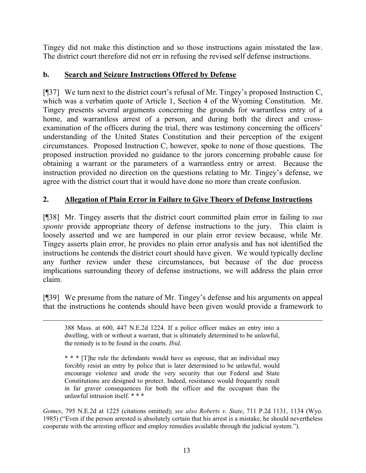Tingey did not make this distinction and so those instructions again misstated the law. The district court therefore did not err in refusing the revised self defense instructions.

# **b. Search and Seizure Instructions Offered by Defense**

[¶37] We turn next to the district court's refusal of Mr. Tingey's proposed Instruction C, which was a verbatim quote of Article 1, Section 4 of the Wyoming Constitution. Mr. Tingey presents several arguments concerning the grounds for warrantless entry of a home, and warrantless arrest of a person, and during both the direct and crossexamination of the officers during the trial, there was testimony concerning the officers' understanding of the United States Constitution and their perception of the exigent circumstances. Proposed Instruction C, however, spoke to none of those questions. The proposed instruction provided no guidance to the jurors concerning probable cause for obtaining a warrant or the parameters of a warrantless entry or arrest. Because the instruction provided no direction on the questions relating to Mr. Tingey's defense, we agree with the district court that it would have done no more than create confusion.

# **2. Allegation of Plain Error in Failure to Give Theory of Defense Instructions**

[¶38] Mr. Tingey asserts that the district court committed plain error in failing to *sua sponte* provide appropriate theory of defense instructions to the jury. This claim is loosely asserted and we are hampered in our plain error review because, while Mr. Tingey asserts plain error, he provides no plain error analysis and has not identified the instructions he contends the district court should have given. We would typically decline any further review under these circumstances, but because of the due process implications surrounding theory of defense instructions, we will address the plain error claim.

[¶39] We presume from the nature of Mr. Tingey's defense and his arguments on appeal that the instructions he contends should have been given would provide a framework to

388 Mass. at 600, 447 N.E.2d 1224. If a police officer makes an entry into a dwelling, with or without a warrant, that is ultimately determined to be unlawful, the remedy is to be found in the courts. *Ibid*.

 $\overline{a}$ 

\* \* \* [T]he rule the defendants would have us espouse, that an individual may forcibly resist an entry by police that is later determined to be unlawful, would encourage violence and erode the very security that our Federal and State Constitutions are designed to protect. Indeed, resistance would frequently result in far graver consequences for both the officer and the occupant than the unlawful intrusion itself. \* \* \*

*Gomes*, 795 N.E.2d at 1225 (citations omitted); *see also Roberts v. State*, 711 P.2d 1131, 1134 (Wyo. 1985) ("Even if the person arrested is absolutely certain that his arrest is a mistake, he should nevertheless cooperate with the arresting officer and employ remedies available through the judicial system.").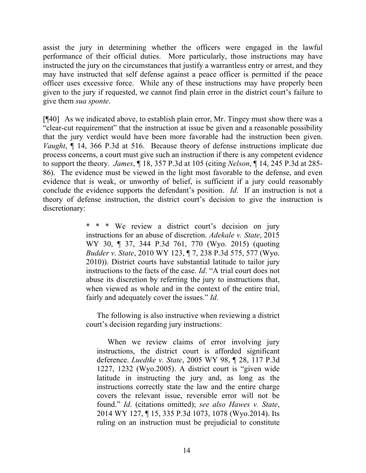assist the jury in determining whether the officers were engaged in the lawful performance of their official duties. More particularly, those instructions may have instructed the jury on the circumstances that justify a warrantless entry or arrest, and they may have instructed that self defense against a peace officer is permitted if the peace officer uses excessive force. While any of these instructions may have properly been given to the jury if requested, we cannot find plain error in the district court's failure to give them *sua sponte*.

[¶40] As we indicated above, to establish plain error, Mr. Tingey must show there was a "clear-cut requirement" that the instruction at issue be given and a reasonable possibility that the jury verdict would have been more favorable had the instruction been given. *Vaught*, ¶ 14, 366 P.3d at 516. Because theory of defense instructions implicate due process concerns, a court must give such an instruction if there is any competent evidence to support the theory. *James*, ¶ 18, 357 P.3d at 105 (citing *Nelson*, ¶ 14, 245 P.3d at 285- 86). The evidence must be viewed in the light most favorable to the defense, and even evidence that is weak, or unworthy of belief, is sufficient if a jury could reasonably conclude the evidence supports the defendant's position. *Id*. If an instruction is not a theory of defense instruction, the district court's decision to give the instruction is discretionary:

> \* \* \* We review a district court's decision on jury instructions for an abuse of discretion. *Adekale v. State*, 2015 WY 30, ¶ 37, 344 P.3d 761, 770 (Wyo. 2015) (quoting *Budder v. State*, 2010 WY 123, ¶ 7, 238 P.3d 575, 577 (Wyo. 2010)). District courts have substantial latitude to tailor jury instructions to the facts of the case. *Id*. "A trial court does not abuse its discretion by referring the jury to instructions that, when viewed as whole and in the context of the entire trial, fairly and adequately cover the issues." *Id*.

> The following is also instructive when reviewing a district court's decision regarding jury instructions:

When we review claims of error involving jury instructions, the district court is afforded significant deference. *Luedtke v. State*, 2005 WY 98, ¶ 28, 117 P.3d 1227, 1232 (Wyo.2005). A district court is "given wide latitude in instructing the jury and, as long as the instructions correctly state the law and the entire charge covers the relevant issue, reversible error will not be found." *Id*. (citations omitted); *see also Hawes v. State*, 2014 WY 127, ¶ 15, 335 P.3d 1073, 1078 (Wyo.2014). Its ruling on an instruction must be prejudicial to constitute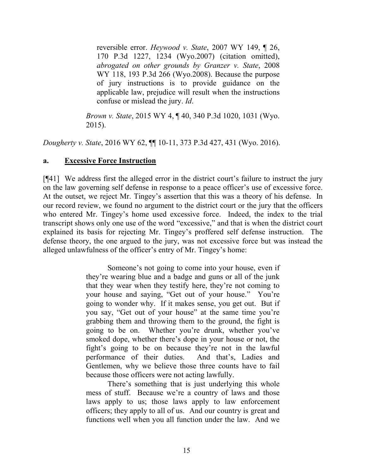reversible error. *Heywood v. State*, 2007 WY 149, ¶ 26, 170 P.3d 1227, 1234 (Wyo.2007) (citation omitted), *abrogated on other grounds by Granzer v. State*, 2008 WY 118, 193 P.3d 266 (Wyo.2008). Because the purpose of jury instructions is to provide guidance on the applicable law, prejudice will result when the instructions confuse or mislead the jury. *Id*.

*Brown v. State*, 2015 WY 4, ¶ 40, 340 P.3d 1020, 1031 (Wyo. 2015).

*Dougherty v. State*, 2016 WY 62, ¶¶ 10-11, 373 P.3d 427, 431 (Wyo. 2016).

### **a. Excessive Force Instruction**

[¶41] We address first the alleged error in the district court's failure to instruct the jury on the law governing self defense in response to a peace officer's use of excessive force. At the outset, we reject Mr. Tingey's assertion that this was a theory of his defense. In our record review, we found no argument to the district court or the jury that the officers who entered Mr. Tingey's home used excessive force. Indeed, the index to the trial transcript shows only one use of the word "excessive," and that is when the district court explained its basis for rejecting Mr. Tingey's proffered self defense instruction. The defense theory, the one argued to the jury, was not excessive force but was instead the alleged unlawfulness of the officer's entry of Mr. Tingey's home:

> Someone's not going to come into your house, even if they're wearing blue and a badge and guns or all of the junk that they wear when they testify here, they're not coming to your house and saying, "Get out of your house." You're going to wonder why. If it makes sense, you get out. But if you say, "Get out of your house" at the same time you're grabbing them and throwing them to the ground, the fight is going to be on. Whether you're drunk, whether you've smoked dope, whether there's dope in your house or not, the fight's going to be on because they're not in the lawful performance of their duties. And that's, Ladies and Gentlemen, why we believe those three counts have to fail because those officers were not acting lawfully.

> There's something that is just underlying this whole mess of stuff. Because we're a country of laws and those laws apply to us; those laws apply to law enforcement officers; they apply to all of us. And our country is great and functions well when you all function under the law. And we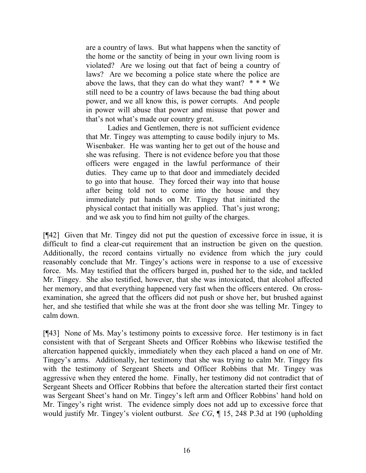are a country of laws. But what happens when the sanctity of the home or the sanctity of being in your own living room is violated? Are we losing out that fact of being a country of laws? Are we becoming a police state where the police are above the laws, that they can do what they want?  $* * * We$ still need to be a country of laws because the bad thing about power, and we all know this, is power corrupts. And people in power will abuse that power and misuse that power and that's not what's made our country great.

Ladies and Gentlemen, there is not sufficient evidence that Mr. Tingey was attempting to cause bodily injury to Ms. Wisenbaker. He was wanting her to get out of the house and she was refusing. There is not evidence before you that those officers were engaged in the lawful performance of their duties. They came up to that door and immediately decided to go into that house. They forced their way into that house after being told not to come into the house and they immediately put hands on Mr. Tingey that initiated the physical contact that initially was applied. That's just wrong; and we ask you to find him not guilty of the charges.

[¶42] Given that Mr. Tingey did not put the question of excessive force in issue, it is difficult to find a clear-cut requirement that an instruction be given on the question. Additionally, the record contains virtually no evidence from which the jury could reasonably conclude that Mr. Tingey's actions were in response to a use of excessive force. Ms. May testified that the officers barged in, pushed her to the side, and tackled Mr. Tingey. She also testified, however, that she was intoxicated, that alcohol affected her memory, and that everything happened very fast when the officers entered. On crossexamination, she agreed that the officers did not push or shove her, but brushed against her, and she testified that while she was at the front door she was telling Mr. Tingey to calm down.

[¶43] None of Ms. May's testimony points to excessive force. Her testimony is in fact consistent with that of Sergeant Sheets and Officer Robbins who likewise testified the altercation happened quickly, immediately when they each placed a hand on one of Mr. Tingey's arms. Additionally, her testimony that she was trying to calm Mr. Tingey fits with the testimony of Sergeant Sheets and Officer Robbins that Mr. Tingey was aggressive when they entered the home. Finally, her testimony did not contradict that of Sergeant Sheets and Officer Robbins that before the altercation started their first contact was Sergeant Sheet's hand on Mr. Tingey's left arm and Officer Robbins' hand hold on Mr. Tingey's right wrist. The evidence simply does not add up to excessive force that would justify Mr. Tingey's violent outburst. *See CG*, ¶ 15, 248 P.3d at 190 (upholding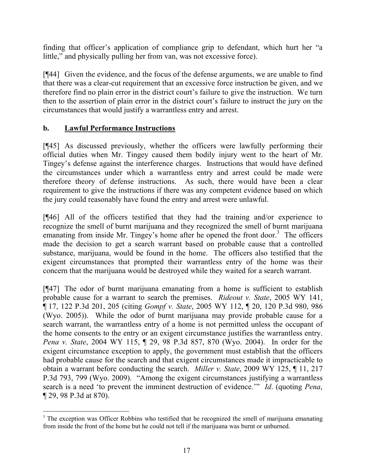finding that officer's application of compliance grip to defendant, which hurt her "a little," and physically pulling her from van, was not excessive force).

[¶44] Given the evidence, and the focus of the defense arguments, we are unable to find that there was a clear-cut requirement that an excessive force instruction be given, and we therefore find no plain error in the district court's failure to give the instruction. We turn then to the assertion of plain error in the district court's failure to instruct the jury on the circumstances that would justify a warrantless entry and arrest.

### **b. Lawful Performance Instructions**

[¶45] As discussed previously, whether the officers were lawfully performing their official duties when Mr. Tingey caused them bodily injury went to the heart of Mr. Tingey's defense against the interference charges. Instructions that would have defined the circumstances under which a warrantless entry and arrest could be made were therefore theory of defense instructions. As such, there would have been a clear requirement to give the instructions if there was any competent evidence based on which the jury could reasonably have found the entry and arrest were unlawful.

[¶46] All of the officers testified that they had the training and/or experience to recognize the smell of burnt marijuana and they recognized the smell of burnt marijuana emanating from inside Mr. Tingey's home after he opened the front door.<sup>3</sup> The officers made the decision to get a search warrant based on probable cause that a controlled substance, marijuana, would be found in the home. The officers also testified that the exigent circumstances that prompted their warrantless entry of the home was their concern that the marijuana would be destroyed while they waited for a search warrant.

[¶47] The odor of burnt marijuana emanating from a home is sufficient to establish probable cause for a warrant to search the premises. *Rideout v. State*, 2005 WY 141, ¶ 17, 122 P.3d 201, 205 (citing *Gompf v. State*, 2005 WY 112, ¶ 20, 120 P.3d 980, 986 (Wyo. 2005)). While the odor of burnt marijuana may provide probable cause for a search warrant, the warrantless entry of a home is not permitted unless the occupant of the home consents to the entry or an exigent circumstance justifies the warrantless entry. *Pena v. State*, 2004 WY 115, ¶ 29, 98 P.3d 857, 870 (Wyo. 2004). In order for the exigent circumstance exception to apply, the government must establish that the officers had probable cause for the search and that exigent circumstances made it impracticable to obtain a warrant before conducting the search. *Miller v. State*, 2009 WY 125, ¶ 11, 217 P.3d 793, 799 (Wyo. 2009). "Among the exigent circumstances justifying a warrantless search is a need 'to prevent the imminent destruction of evidence.'" *Id*. (quoting *Pena*, ¶ 29, 98 P.3d at 870).

<sup>&</sup>lt;sup>3</sup> The exception was Officer Robbins who testified that he recognized the smell of marijuana emanating from inside the front of the home but he could not tell if the marijuana was burnt or unburned.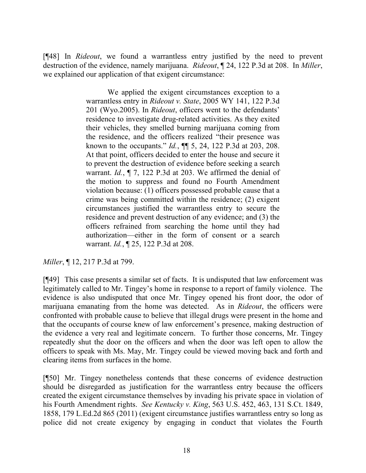[¶48] In *Rideout*, we found a warrantless entry justified by the need to prevent destruction of the evidence, namely marijuana. *Rideout*, ¶ 24, 122 P.3d at 208. In *Miller*, we explained our application of that exigent circumstance:

> We applied the exigent circumstances exception to a warrantless entry in *Rideout v. State*, 2005 WY 141, 122 P.3d 201 (Wyo.2005). In *Rideout*, officers went to the defendants' residence to investigate drug-related activities. As they exited their vehicles, they smelled burning marijuana coming from the residence, and the officers realized "their presence was known to the occupants." *Id.*, ¶¶ 5, 24, 122 P.3d at 203, 208. At that point, officers decided to enter the house and secure it to prevent the destruction of evidence before seeking a search warrant. *Id.*, ¶ 7, 122 P.3d at 203. We affirmed the denial of the motion to suppress and found no Fourth Amendment violation because: (1) officers possessed probable cause that a crime was being committed within the residence; (2) exigent circumstances justified the warrantless entry to secure the residence and prevent destruction of any evidence; and (3) the officers refrained from searching the home until they had authorization—either in the form of consent or a search warrant. *Id.*, ¶ 25, 122 P.3d at 208.

*Miller*, ¶ 12, 217 P.3d at 799.

[¶49] This case presents a similar set of facts. It is undisputed that law enforcement was legitimately called to Mr. Tingey's home in response to a report of family violence. The evidence is also undisputed that once Mr. Tingey opened his front door, the odor of marijuana emanating from the home was detected. As in *Rideout*, the officers were confronted with probable cause to believe that illegal drugs were present in the home and that the occupants of course knew of law enforcement's presence, making destruction of the evidence a very real and legitimate concern. To further those concerns, Mr. Tingey repeatedly shut the door on the officers and when the door was left open to allow the officers to speak with Ms. May, Mr. Tingey could be viewed moving back and forth and clearing items from surfaces in the home.

[¶50] Mr. Tingey nonetheless contends that these concerns of evidence destruction should be disregarded as justification for the warrantless entry because the officers created the exigent circumstance themselves by invading his private space in violation of his Fourth Amendment rights. *See Kentucky v. King*, 563 U.S. 452, 463, 131 S.Ct. 1849, 1858, 179 L.Ed.2d 865 (2011) (exigent circumstance justifies warrantless entry so long as police did not create exigency by engaging in conduct that violates the Fourth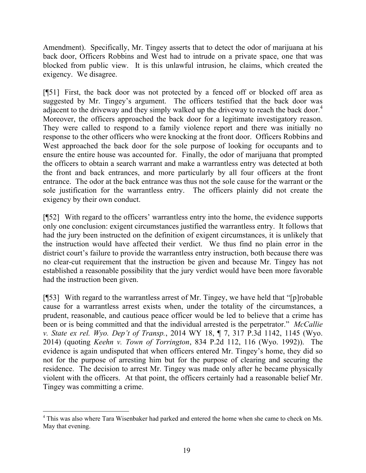Amendment). Specifically, Mr. Tingey asserts that to detect the odor of marijuana at his back door, Officers Robbins and West had to intrude on a private space, one that was blocked from public view. It is this unlawful intrusion, he claims, which created the exigency. We disagree.

[¶51] First, the back door was not protected by a fenced off or blocked off area as suggested by Mr. Tingey's argument. The officers testified that the back door was adjacent to the driveway and they simply walked up the driveway to reach the back door.<sup>4</sup> Moreover, the officers approached the back door for a legitimate investigatory reason. They were called to respond to a family violence report and there was initially no response to the other officers who were knocking at the front door. Officers Robbins and West approached the back door for the sole purpose of looking for occupants and to ensure the entire house was accounted for. Finally, the odor of marijuana that prompted the officers to obtain a search warrant and make a warrantless entry was detected at both the front and back entrances, and more particularly by all four officers at the front entrance. The odor at the back entrance was thus not the sole cause for the warrant or the sole justification for the warrantless entry. The officers plainly did not create the exigency by their own conduct.

[¶52] With regard to the officers' warrantless entry into the home, the evidence supports only one conclusion: exigent circumstances justified the warrantless entry. It follows that had the jury been instructed on the definition of exigent circumstances, it is unlikely that the instruction would have affected their verdict. We thus find no plain error in the district court's failure to provide the warrantless entry instruction, both because there was no clear-cut requirement that the instruction be given and because Mr. Tingey has not established a reasonable possibility that the jury verdict would have been more favorable had the instruction been given.

[¶53] With regard to the warrantless arrest of Mr. Tingey, we have held that "[p]robable cause for a warrantless arrest exists when, under the totality of the circumstances, a prudent, reasonable, and cautious peace officer would be led to believe that a crime has been or is being committed and that the individual arrested is the perpetrator." *McCallie v. State ex rel. Wyo. Dep't of Transp.*, 2014 WY 18, ¶ 7, 317 P.3d 1142, 1145 (Wyo. 2014) (quoting *Keehn v. Town of Torrington*, 834 P.2d 112, 116 (Wyo. 1992)). The evidence is again undisputed that when officers entered Mr. Tingey's home, they did so not for the purpose of arresting him but for the purpose of clearing and securing the residence. The decision to arrest Mr. Tingey was made only after he became physically violent with the officers. At that point, the officers certainly had a reasonable belief Mr. Tingey was committing a crime.

<sup>&</sup>lt;sup>4</sup> This was also where Tara Wisenbaker had parked and entered the home when she came to check on Ms. May that evening.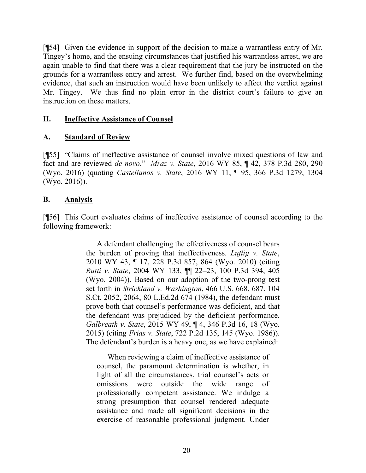[¶54] Given the evidence in support of the decision to make a warrantless entry of Mr. Tingey's home, and the ensuing circumstances that justified his warrantless arrest, we are again unable to find that there was a clear requirement that the jury be instructed on the grounds for a warrantless entry and arrest. We further find, based on the overwhelming evidence, that such an instruction would have been unlikely to affect the verdict against Mr. Tingey. We thus find no plain error in the district court's failure to give an instruction on these matters.

#### **II. Ineffective Assistance of Counsel**

### **A. Standard of Review**

[¶55] "Claims of ineffective assistance of counsel involve mixed questions of law and fact and are reviewed *de novo*." *Mraz v. State*, 2016 WY 85, ¶ 42, 378 P.3d 280, 290 (Wyo. 2016) (quoting *Castellanos v. State*, 2016 WY 11, ¶ 95, 366 P.3d 1279, 1304 (Wyo. 2016)).

### **B. Analysis**

[¶56] This Court evaluates claims of ineffective assistance of counsel according to the following framework:

> A defendant challenging the effectiveness of counsel bears the burden of proving that ineffectiveness. *Luftig v. State*, 2010 WY 43, ¶ 17, 228 P.3d 857, 864 (Wyo. 2010) (citing *Rutti v. State*, 2004 WY 133, ¶¶ 22–23, 100 P.3d 394, 405 (Wyo. 2004)). Based on our adoption of the two-prong test set forth in *Strickland v. Washington*, 466 U.S. 668, 687, 104 S.Ct. 2052, 2064, 80 L.Ed.2d 674 (1984), the defendant must prove both that counsel's performance was deficient, and that the defendant was prejudiced by the deficient performance. *Galbreath v. State*, 2015 WY 49, ¶ 4, 346 P.3d 16, 18 (Wyo. 2015) (citing *Frias v. State*, 722 P.2d 135, 145 (Wyo. 1986)). The defendant's burden is a heavy one, as we have explained:

When reviewing a claim of ineffective assistance of counsel, the paramount determination is whether, in light of all the circumstances, trial counsel's acts or omissions were outside the wide range of professionally competent assistance. We indulge a strong presumption that counsel rendered adequate assistance and made all significant decisions in the exercise of reasonable professional judgment. Under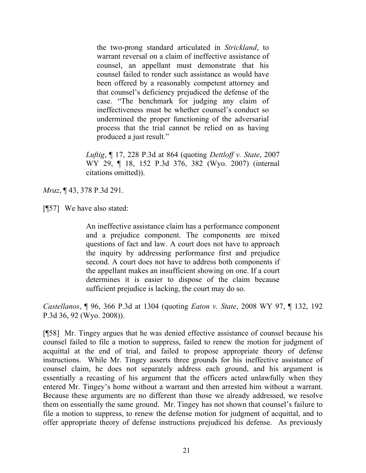the two-prong standard articulated in *Strickland*, to warrant reversal on a claim of ineffective assistance of counsel, an appellant must demonstrate that his counsel failed to render such assistance as would have been offered by a reasonably competent attorney and that counsel's deficiency prejudiced the defense of the case. "The benchmark for judging any claim of ineffectiveness must be whether counsel's conduct so undermined the proper functioning of the adversarial process that the trial cannot be relied on as having produced a just result."

*Luftig*, ¶ 17, 228 P.3d at 864 (quoting *Dettloff v. State*, 2007 WY 29, ¶ 18, 152 P.3d 376, 382 (Wyo. 2007) (internal citations omitted)).

*Mraz*, ¶ 43, 378 P.3d 291.

[¶57] We have also stated:

An ineffective assistance claim has a performance component and a prejudice component. The components are mixed questions of fact and law. A court does not have to approach the inquiry by addressing performance first and prejudice second. A court does not have to address both components if the appellant makes an insufficient showing on one. If a court determines it is easier to dispose of the claim because sufficient prejudice is lacking, the court may do so.

*Castellanos*, ¶ 96, 366 P.3d at 1304 (quoting *Eaton v. State*, 2008 WY 97, ¶ 132, 192 P.3d 36, 92 (Wyo. 2008)).

[¶58] Mr. Tingey argues that he was denied effective assistance of counsel because his counsel failed to file a motion to suppress, failed to renew the motion for judgment of acquittal at the end of trial, and failed to propose appropriate theory of defense instructions. While Mr. Tingey asserts three grounds for his ineffective assistance of counsel claim, he does not separately address each ground, and his argument is essentially a recasting of his argument that the officers acted unlawfully when they entered Mr. Tingey's home without a warrant and then arrested him without a warrant. Because these arguments are no different than those we already addressed, we resolve them on essentially the same ground. Mr. Tingey has not shown that counsel's failure to file a motion to suppress, to renew the defense motion for judgment of acquittal, and to offer appropriate theory of defense instructions prejudiced his defense. As previously